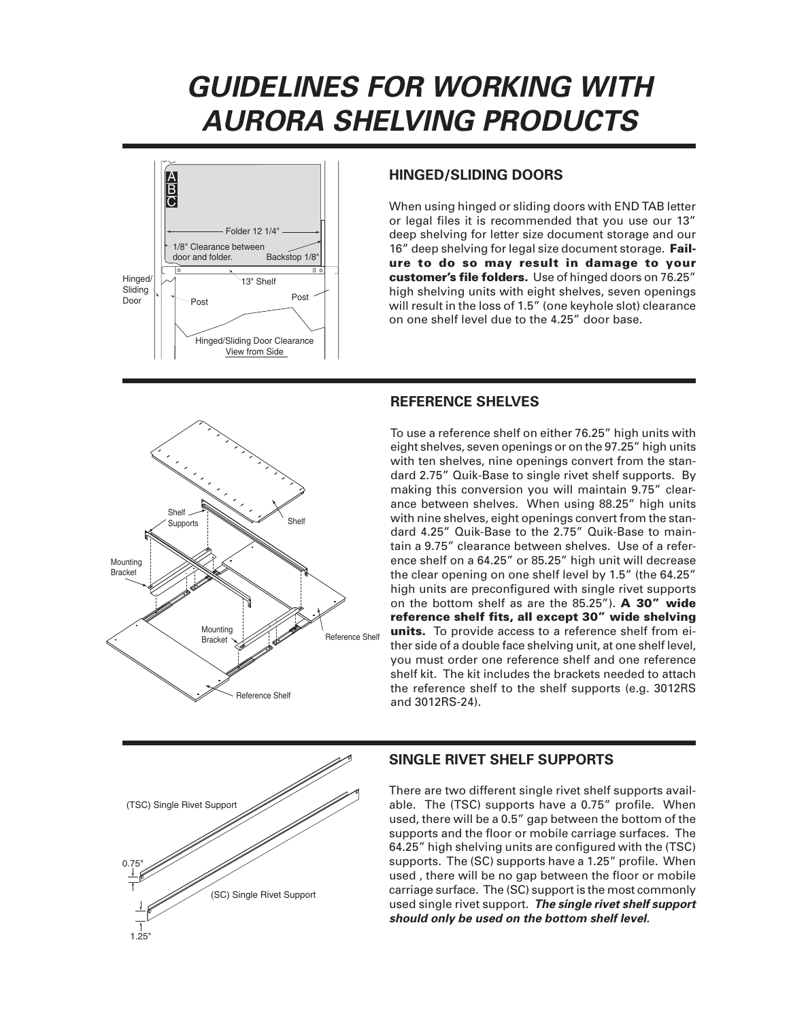# *GUIDELINES FOR WORKING WITH AURORA SHELVING PRODUCTS*



### *HINGED/SLIDING DOORS*

When using hinged or sliding doors with END TAB letter or legal files it is recommended that you use our 13" deep shelving for letter size document storage and our 16" deep shelving for legal size document storage. Failure to do so may result in damage to your customer's file folders. Use of hinged doors on 76.25" high shelving units with eight shelves, seven openings will result in the loss of 1.5" (one keyhole slot) clearance on one shelf level due to the 4.25" door base.



## *REFERENCE SHELVES*

To use a reference shelf on either 76.25" high units with eight shelves, seven openings or on the 97.25" high units with ten shelves, nine openings convert from the standard 2.75" Quik-Base to single rivet shelf supports. By making this conversion you will maintain 9.75" clearance between shelves. When using 88.25" high units with nine shelves, eight openings convert from the standard 4.25" Quik-Base to the 2.75" Quik-Base to maintain a 9.75" clearance between shelves. Use of a reference shelf on a 64.25" or 85.25" high unit will decrease the clear opening on one shelf level by 1.5" (the 64.25" high units are preconfigured with single rivet supports on the bottom shelf as are the 85.25"). A 30" wide reference shelf fits, all except 30" wide shelving units. To provide access to a reference shelf from either side of a double face shelving unit, at one shelf level, you must order one reference shelf and one reference shelf kit. The kit includes the brackets needed to attach the reference shelf to the shelf supports (e.g. 3012RS and 3012RS-24).



#### *SINGLE RIVET SHELF SUPPORTS*

There are two different single rivet shelf supports available. The (TSC) supports have a 0.75" profile. When used, there will be a 0.5" gap between the bottom of the supports and the floor or mobile carriage surfaces. The 64.25" high shelving units are configured with the (TSC) supports. The (SC) supports have a 1.25" profile. When used , there will be no gap between the floor or mobile carriage surface. The (SC) support is the most commonly used single rivet support. *The single rivet shelf support should only be used on the bottom shelf level.*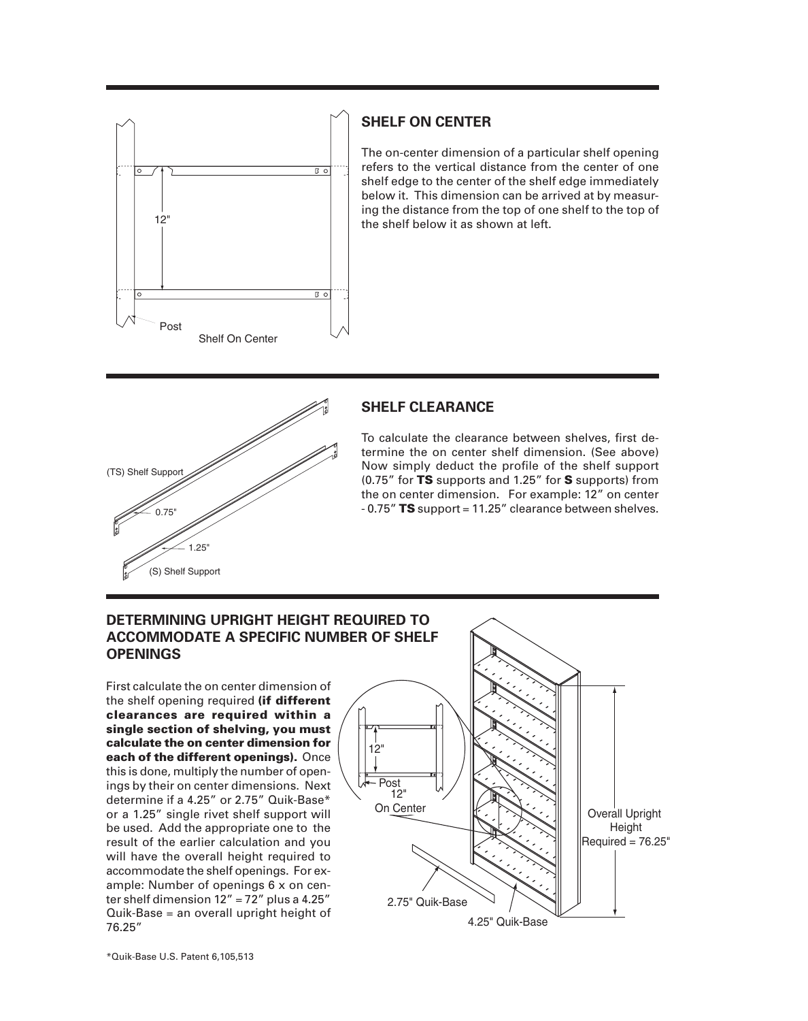

#### *SHELF ON CENTER*

The on-center dimension of a particular shelf opening refers to the vertical distance from the center of one shelf edge to the center of the shelf edge immediately below it. This dimension can be arrived at by measuring the distance from the top of one shelf to the top of the shelf below it as shown at left.



### *SHELF CLEARANCE*

To calculate the clearance between shelves, first determine the on center shelf dimension. (See above) Now simply deduct the profile of the shelf support (0.75" for TS supports and 1.25" for S supports) from the on center dimension. For example: 12" on center  $-0.75$ " TS support = 11.25" clearance between shelves.

#### *DETERMINING UPRIGHT HEIGHT REQUIRED TO ACCOMMODATE A SPECIFIC NUMBER OF SHELF OPENINGS*

First calculate the on center dimension of the shelf opening required (if different clearances are required within a single section of shelving, you must calculate the on center dimension for each of the different openings). Once this is done, multiply the number of openings by their on center dimensions. Next determine if a 4.25" or 2.75" Quik-Base\* or a 1.25" single rivet shelf support will be used. Add the appropriate one to the result of the earlier calculation and you will have the overall height required to accommodate the shelf openings. For example: Number of openings 6 x on center shelf dimension  $12'' = 72''$  plus a 4.25" Quik-Base = an overall upright height of 76.25"

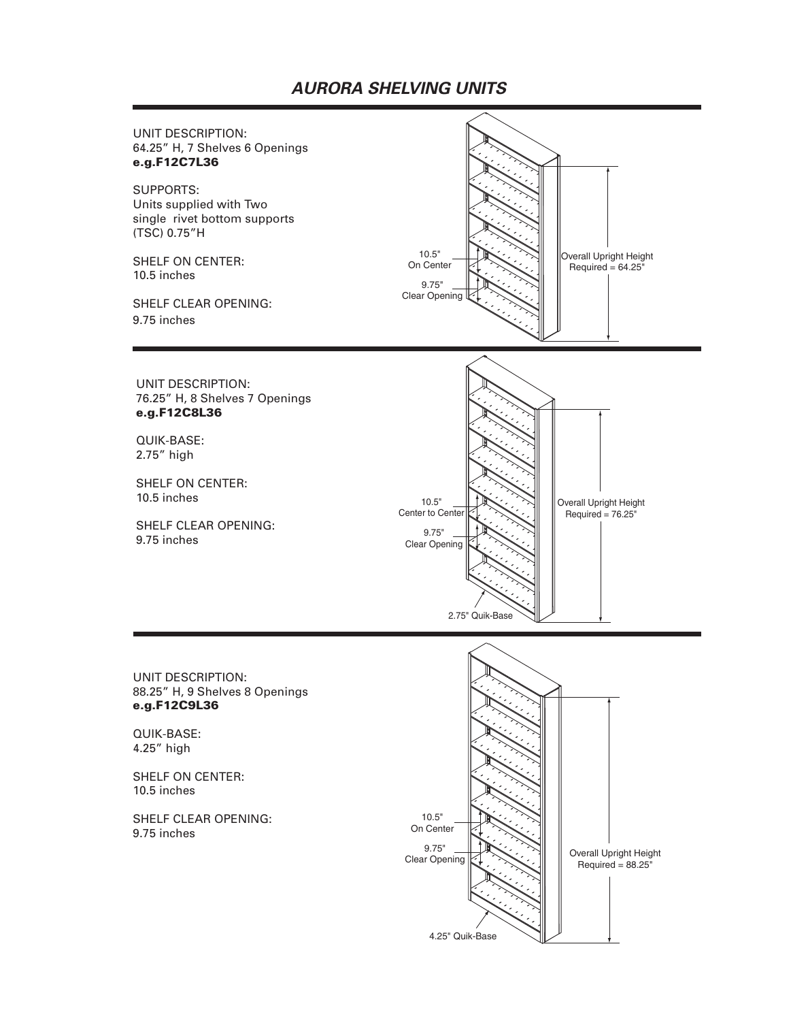## *AURORA SHELVING UNITS*

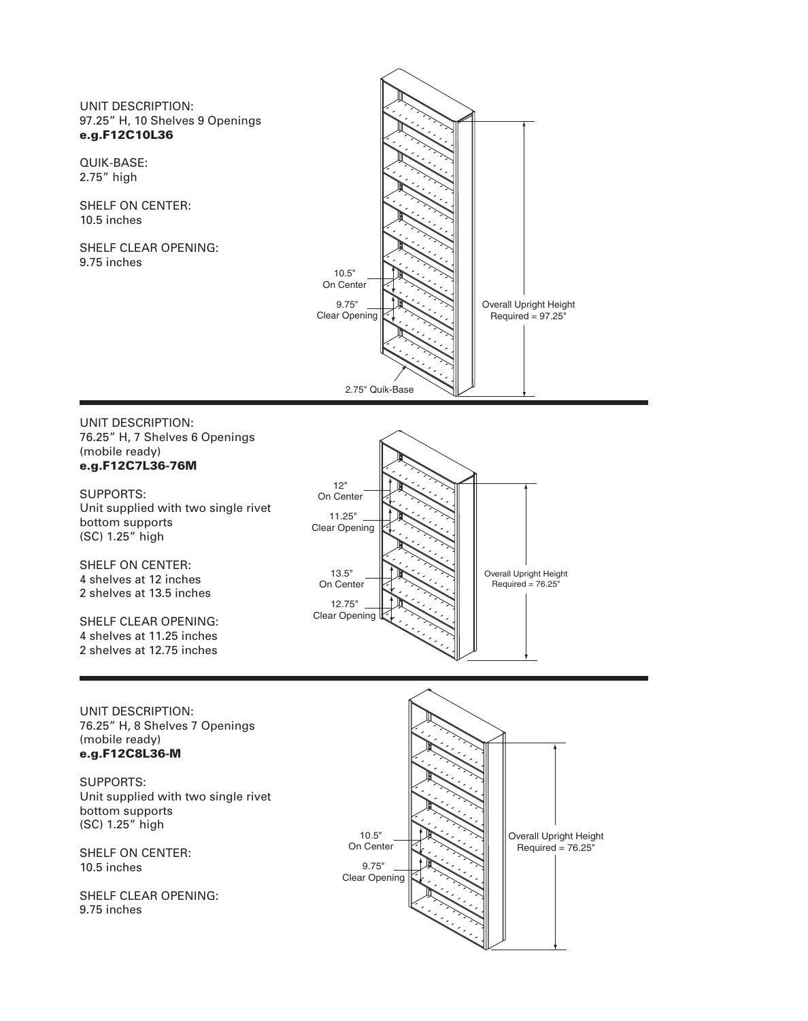#### UNIT DESCRIPTION: 97.25" H, 10 Shelves 9 Openings e.g.F12C10L36

QUIK-BASE: 2.75" high

SHELF ON CENTER: 10.5 inches

SHELF CLEAR OPENING: 9.75 inches



#### UNIT DESCRIPTION: 76.25" H, 7 Shelves 6 Openings (mobile ready) e.g.F12C7L36-76M

SUPPORTS: Unit supplied with two single rivet bottom supports (SC) 1.25" high

SHELF ON CENTER: 4 shelves at 12 inches 2 shelves at 13.5 inches

SHELF CLEAR OPENING: 4 shelves at 11.25 inches 2 shelves at 12.75 inches





SUPPORTS: Unit supplied with two single rivet bottom supports (SC) 1.25" high

SHELF ON CENTER: 10.5 inches

SHELF CLEAR OPENING: 9.75 inches

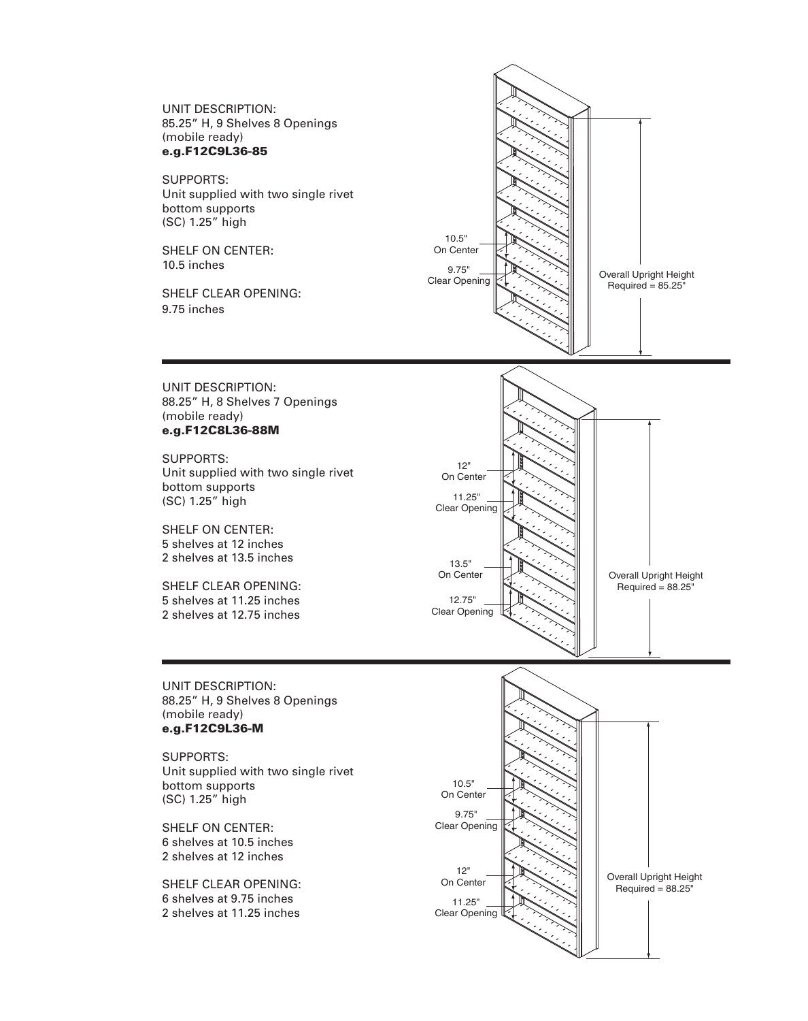UNIT DESCRIPTION: 85.25" H, 9 Shelves 8 Openings (mobile ready) e.g.F12C9L36-85

SUPPORTS: Unit supplied with two single rivet bottom supports (SC) 1.25" high

SHELF ON CENTER: 10.5 inches

SHELF CLEAR OPENING: 9.75 inches



UNIT DESCRIPTION: 88.25" H, 8 Shelves 7 Openings (mobile ready) e.g.F12C8L36-88M

SUPPORTS: Unit supplied with two single rivet bottom supports (SC) 1.25" high

SHELF ON CENTER: 5 shelves at 12 inches 2 shelves at 13.5 inches

SHELF CLEAR OPENING: 5 shelves at 11.25 inches 2 shelves at 12.75 inches



UNIT DESCRIPTION: 88.25" H, 9 Shelves 8 Openings (mobile ready) e.g.F12C9L36-M

SUPPORTS: Unit supplied with two single rivet bottom supports (SC) 1.25" high

SHELF ON CENTER: 6 shelves at 10.5 inches 2 shelves at 12 inches

SHELF CLEAR OPENING: 6 shelves at 9.75 inches 2 shelves at 11.25 inches